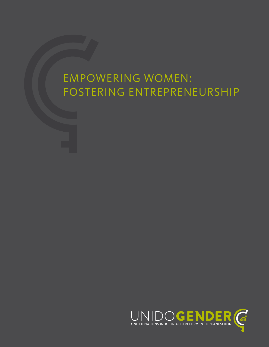# EMPOWERING WOMEN: FOSTERING ENTREPRENEURSHIP

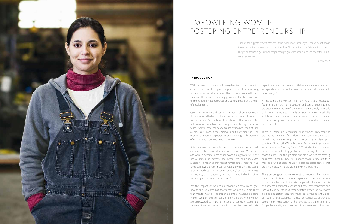"One of the biggest growth markets in the world may surprise you. You've heard about the opportunities opening up in countries like China, regions like Asia and industries like green technology. But one major emerging market hasn't received the attention it deserves: women."

Hillary Clinton



# EMPOWERING WOMEN – FOSTERING ENTREPRENEURSHIP

#### **INTRODUCTION**

With the world economy still struggling to recover from the capacity and spur economic growth by creating new jobs, as well economic shocks of the past few years, momentum is growing for a new industrial revolution that is both sustainable and in a country.<sup>iv</sup> inclusive. This means supporting growth within the constraints of the planet's limited resources and putting people at the heart At the same time, women tend to have a smaller ecological of development.

Central to inclusive and sustainable industrial development is and they make more sustainable decisions for their households the urgent need to harness the economic potential of women – half of the world's population. It is estimated that by 2020, 870 million women who have been living or contributing at a subsis-development. tence level will enter the economic mainstream for the first time as producers, consumers, employees and entrepreneurs.<sup>i</sup> The economic impact is expected to be staggering, with profound effects on global development as a whole.

It is becoming increasingly clear that women are, and will continue to be, powerful drivers of development. When men and women become more equal, economies grow faster, fewer people remain in poverty, and overall well-being increases. Studies have reported that raising female employment to male levels can have a direct impact on GDP growth rates, increasing it by as much as  $34\%$  in some countries,<sup>ii</sup> and that countries' productivity can increase by as much as 25 % if discriminatory barriers against women are removed.<sup>iii</sup>

There is increasing recognition that women entrepreneurs are the new engines for inclusive and sustainable industrial growth, and are the rising stars of economies in developing countries. <sup>v</sup> In 2012, the World Economic Forum identified women entrepreneurs as "the way forward". Vi Yet, despite this, women entrepreneurs still struggle to take their rightful place in economic life. Even though more and more women are starting businesses globally, they still manage fewer businesses than men, and run businesses that are in less profitable sectors, that grow more slowly and are ultimately more likely to fail. Vii

Yet the impact of women's economic empowerment goes beyond this. Research has shown that women are more likely than men to invest a large proportion of their household income in the education and well-being of their children. When women are empowered to make an income, accumulate assets and increase their economic security, they improve industrial

as expanding the pool of human resources and talents available

footprint than men. Their production and consumption patterns are often more resource-efficient, they are more likely to recycle and businesses. Therefore, their increased role in economic decision-making has positive effects on sustainable economic

These gender gaps impose real costs on society. When women do not participate equally in entrepreneurship, economies lose the benefits that would otherwise be provided by new products and services, additional revenues and new jobs; economies also lose out due to the long-term negative effects on workforce skills and education occurring when half of the potential pool of labour is not developed. The clear consequences of women's economic marginalisation further emphasise the pressing need for gender equality and the economic empowerment of women.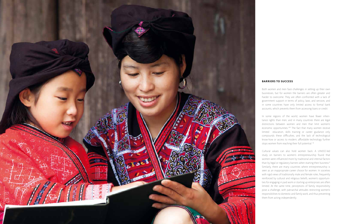#### **BARRIERS TO SUCCESS**

In some regions of the world, women have fewer inheri tance rights than men, and in many countries there are legal distinctions between women and men that limit women's economic opportunities. Vill The fact that many women receive limited education, skills training or career guidance only compounds these difficulties, and the lack of technological know-how or access to modern, affordable technology further stops women from reaching their full potential. ix

Both women and men face challenges in setting up their own businesses, but for women the barriers are often greater and harder to overcome. They are often confronted with a lack of government support in terms of policy, laws, and services, and in some countries have only limited access to formal bank accounts, which prevents them from accessing loans or credit.

Cultural values can also hold women back. A UNIDO-led study on barriers to women's entrepreneurship found that women were influenced more by traditional and internal factors than by legal or regulatory barriers when starting their business.<sup>></sup> Similarly, there are many countries where entrepreneurship is seen as an inappropriate career choice for women. In societies with rigid views of traditionally male and female roles, frequently reinforced by cultural and religious beliefs, women's opportuni ties for engaging in paid work or starting up enterprises are often limited. At the same time, perceptions of family responsibility pose a challenge, with patriarchal attitudes restricting women's responsibilities to domestic and family work, and thus preventing them from acting independently.

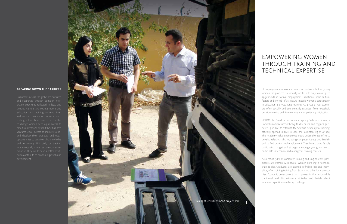## EMPOWERING WOMEN THROUGH TRAINING AND TECHNICAL EXPERTISE

### **BREAKING DOWN THE BARRIERS**

and supported through complex inter and women, however, are not on an even and develop their products, and equal opportunities to acquire skills, knowledge preneurs, they would be in a better positi -

Unemployment remains a serious issue for Iraqis, but for young women the problem is especially acute, with only 10% of 15- to 29-year-olds in formal employment. Traditional socio-cultural factors and limited infrastructure impede women's participation in education and vocational training. As a result, Iraqi women are often socially and economically excluded from household decision-making and from community or political participation.

UNIDO, the Swedish development agency, Sida, and Scania, a Swedish manufacturer of heavy trucks, buses, and engines, part nered up in 2011 to establish the Swedish Academy for Training, officially opened in 2012 in Erbil, the Kurdistan region of Iraq. The Academy helps unemployed Iraqis under the age of 30 to develop relevant skills, including computer literacy and English, and to find professional employment. They have a 30 % female participation target and strongly encourage young women to participate in technical and managerial training courses.

As a result, 38 % of computer training and English-class parti cipants are women, with several women enrolling in technical training also. Graduates are assisted in finding jobs and intern ships, often gaining training from Scania and other local compa nies. Economic development has improved in the region while traditional and discriminatory attitudes and beliefs about women's capabilities are being challenged.

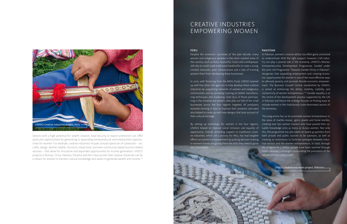### CREATIVE INDUSTRIES EMPOWERING WOMEN

Sectors with a high potential for wealth creation, food security or export promotion can offer particular opportunities for generating or expanding entrepreneurial and employment opportunities for women. For example, creative industries include a broad spectrum of subsectors – art, crafts, design, textiles, leather, furniture, (slow) food, and even community-based tourism related services – that allow for innovative and expanded opportunities for income generation. UNIDO projects in Bolivia, China, Pakistan, Panama and Peru have proven that creative industries can be a means for women to harness cultural knowledge and assets to generate wealth and income. xi

#### PERU

women and indigenous peoples in the more isolated areas of still rely on small-scale traditional handicrafts to make a living. prevent them from developing these businesses.

By setting up workshops for women in the four regions, creating over 650 women trainers who have passed their va-UNIDO helped to improve social inclusion and equality of opportunity. Overall, providing support to traditional creative industries, which are a priority for Peru, has had tangible effects on women's empowerment by putting decision-making in women's hands and giving them the skills they need to grow their businesses.

up with five other UN agencies to help develop these creative industries by supporting networks of women and indigenous communities and by providing training on better manufacturing techniques and marketing. Over 65 % of those participating in the initiative are women, who also run half of the small received training in how to improve their products and were also helped to come up with new designs that took account of their cultural heritage.

Despite the economic successes of the past decade, many In Pakistan, women's creative ability has often gone unnoticed the country, such as Puno, Ayacucho, Cusco and Lambayeque, try can play a pivotal role in the economy. UNIDO's Women Limited resources, poor infrastructure and a lack of training the Joint UN Programme "Towards Gender Parity in Pakistan", In 2010, with financing from the MDG Fund, UNIDO teamed to alleviate poverty and promote female economic empowerbusinesses across the four regions targeted. All producers include women in the traditionally male-dominated sectors of or underutilised. With the right support, however, craft indus-Entrepreneurship Development Programme, funded under recognises that expanding employment and creating economic opportunities for women is one of the most effective ways ment. The Business Growth Centre, established by UNIDO, is aimed at enhancing the ability, mobility, visibility, and connectivity of women entrepreneurs. <sup>xii</sup> Gender equality is at the centre of the development process supported by the UN in Pakistan and hence the strategy focuses on finding ways to the economy. The programme has so far promoted women entrepreneurs in



#### PAKISTAN

the areas of marble mosaic, gems, jewels and home textiles, luable knowledge onto as many as 16,000 women. Not only this, the programme has also taken on board 45 partners from both private and public sources to be sponsors, as well as creating 20 institutions to facilitate synergies between industrial sectors and the women entrepreneurs. In total, through the programme 5 million people have been reached through media advocacy campaigns surrounding the promotion of the women entrepreneurs' crafts.

UNIDO creative industries project, Pakistan

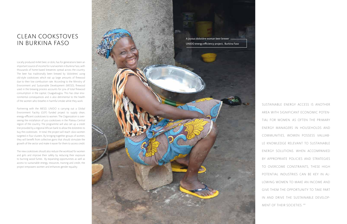### CLEAN COOKSTOVES IN BURKINA FASO

Locally produced millet beer, or dolo, has for generations been an important source of income for rural women in Burkina Faso, with thousands of home-based breweries spread across the country. The beer has traditionally been brewed by 'dolotières' using old-style cookstoves which eat up large amounts of firewood due to their low combustion rate. According to the Ministry of Environment and Sustainable Development (MESD), firewood used in the brewing process accounts for 50% of total firewood consumption in the capital, Ouagadougou. This has clear environmental consequences and is also detrimental to the health of the women who breathe in harmful smoke while they work.

Partnering with the MESD, UNIDO is carrying out a Global Environment Facility (GEF) funded project to supply clean, energy-efficient cookstoves to women. The Organization is overseeing the installation of 500 cookstoves in the Plateau-Central region of the country. The programme will also set up a credit line provided by a regional African bank to allow the dolotières to buy the cookstoves. In total, the project will reach 1,600 women targeted in four clusters. By bringing together groups of women, they will benefit from collective gains that should stimulate the growth of the sector and make it easier for them to access credit.

The new cookstoves should also reduce the workload for women and girls and improve their safety by reducing their exposure to burning wood fumes. By expanding opportunities as well as access to sustainable energy, resources, training and credit, the project empowers women and enhances gender equality.



SUSTAINABLE ENERGY ACCESS IS ANOTHER AREA WITH SIGNIFICANT ECONOMIC POTEN-TIAL FOR WOMEN. AS OFTEN THE PRIMARY ENERGY MANAGERS IN HOUSEHOLDS AND COMMUNITIES, WOMEN POSSESS VALUAB-LE KNOWLEDGE RELEVANT TO SUSTAINABLE ENERGY SOLUTIONS. WHEN ACCOMPANIED BY APPROPRIATE POLICIES AND STRATEGIES TO OVERCOME CONSTRAINTS, THESE HIGH POTENTIAL INDUSTRIES CAN BE KEY IN AL-LOWING WOMEN TO MAKE AN INCOME AND GIVE THEM THE OPPORTUNITY TO TAKE PART IN AND DRIVE THE SUSTAINABLE DEVELOP-MENT OF THEIR SOCIETIES. XIII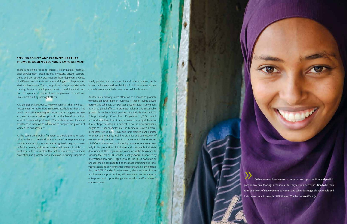»"When women have access to resources and opportunities and participate on an equal footing in economic life, they are in a better position to fill their roles as drivers of development outcomes and take advantage of sustainable and inclusive economic growth." UN Women: The Future We Want (2012)

#### **SEEKING POLICES AND PARTNERSHIPS THAT PROMOTE WOMEN'S ECONOMIC EMPOWERMENT**

Any policies that set out to help women start their own businesses need to make more resources available to them. This could mean skills training in starting and managing businesses, loan schemes that are project- or idea-based rather than subject to ownership of assets xiv as collateral, and technical women-led businesses. **xv** 

There is no single recipe for success. Policymakers, international development organizations, investors, private corporations, and civil society organizations have deployed a variety of different instruments and methodologies to help women family policies, such as maternity and paternity leave, flexibstart up businesses. These range from entrepreneurial skills training, business development services and technical support, to capacity development and the provision of credit and investment funding, amongst others.

tal attitudes that are conducive to women's entrepreneurship, in family unions, and hence have equal ownership rights to joint assets. It is also clear that actions to strengthen social protection and promote social inclusion, including supportive

le work schedules and availability of child care services, are crucial if women are to become successful in business.

assistance in addition to education to support the growth of duce entrepreneurship as a subject to over 10,000 students in At the same time, policy frameworks should promote socie-to enhance the ability, mobility, visibility and connectivity of such as ensuring that women are recognized as equal partners UNIDO's commitment to including women's empowerment Another area drawing more attention as a means to promote women's empowerment in business is that of public-private partnership schemes. UNIDO sees private-sector involvement as vital to global efforts to promote inclusive and sustainable growth. Examples of such partnerships include the UNIDO's Entrepreneurship Curriculum Programme (ECP), which received \$1 million from Chevron towards a project to intro-Angola. <sup>xvi</sup> Other examples are the Business Growth Centres in Pakistan set up by UNIDO and First Women Bank Limited women entrepreneurs. Also, in a move which demonstrates fully in its promotion of inclusive and sustainable industrial development, the Organization joined up with UN Women to sponsor the 2013 SEED Gender Equality Award, supported by international law firm, Hogan Lowells. The SEED Awards is an annual scheme designed to find the most promising and innovative social and environmental entrepreneurs. Following from this, the SEED Gender Equality Award, which includes finance and broader support services, will be made to two women-run enterprises which prioritise gender equality and/or women's empowerment.

©iStockphoto.com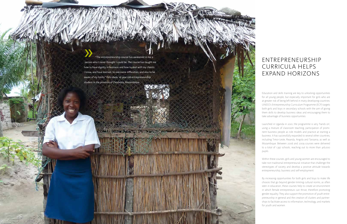»"The entrepreneurship course has awakened in me a person who I never thought I could be. The course has taught me how to have dignity in business and how to deal with my clients. I know, and have learned, to overcome difficulties, and also to be aware of my limits." Felicidade, 16-year-old entrepreneurship student in the province of Zambezia, Mozambique

NORTH CONTRACTOR

### ENTREPRENEURSHIP CURRICULA HELPS EXPAND HORIZONS

Education and skills training are key to unlocking opportunities for all young people, but especially important for girls who are at greater risk of being left behind in many developing countries. UNIDO's Entrepreneurship Curriculum Programme (ECP) targets both girls and boys in secondary schools with the aim of giving them skills to develop business ideas and encouraging them to take advantage of business opportunities.

Launched in Uganda in 2001, the programme is very 'hands on', using a mixture of classroom teaching, participation of promi nent business people as role models and practice at starting a business. It has successfully expanded to several other countries, including Timor-Leste, Rwanda, Angola and Tanzania, as well as Mozambique. Between 2006 and 2009 courses were delivered to a total of 1,397 schools, reaching out to more than 416,000

pupils.

Within these courses, girls and young women are encouraged to take non-traditional entrepreneurial initiative that challenge the stereotypes of society and develop a positive attitude towards entrepreneurship, business and self-employment.

By increasing opportunities for both girls and boys to make life choices that go beyond gender-limiting cultural norms, as often seen in education, these courses help to create an environment in which female entrepreneurs can thrive, therefore promoting gender equality. They also support the promotion of youth entre preneurship in general and the creation of clusters and partner ships to facilitate access to information, technology, and markets for youth and women.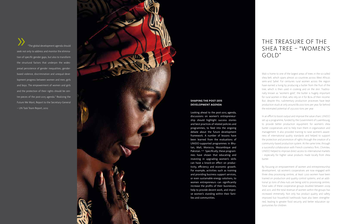»"The global development agenda should seek not only to address and monitor the elimina tion of specific gender gaps, but also to transform the structural factors that underpin the wides pread persistence of gender inequalities, genderbased violence, discrimination and unequal development progress between women and men, girls and boys. The empowerment of women and girls and the protection of their rights should be cen tre-pieces of the post-2015 agenda." Realizing the Future We Want, Report to the Secretary-General – UN Task Team Report, 2012

#### **SHAPING THE POST-2015 DEVELOPMENT AGENDA**

Looking ahead to the post-2015 agenda, discussions on women's entrepreneur ship should highlight success stories and best practices of related policies and programmes, to feed into the ongoing debate about the future development framework. A number of lessons have been learned from the evaluations of UNIDO-supported programmes in Bhu tan, Mali, Morocco, Mozambique and Pakistan. XVII Specifically, these programmes have shown that educating and investing in upgrading women's skills can have a knock-on effect on produc tivity, efficiency and economic growth. For example, activities such as training and providing business support services, or even sustainable energy solutions, to women entrepreneurs can significantly increase the profits of their businesses, help to provide decent work, and impro ve women's standing within their fami lies and communities.

### THE TREASURE OF THE SHEA TREE – "WOMEN'S GOLD"

Mali is home to one of the largest areas of trees in the so-called shea belt, which spans almost 20 countries across West Africa's semi-arid Sahel. For centuries rural women across the region have earned a living by producing a butter from the fruit of the tree, which is then used in cooking and on the skin. Traditio nally known as "women's gold", the butter is hugely important for rural women in Mali, who rely on it for 80% of their income. But, despite this, rudimentary production processes have kept production stuck at only around 80,000 tons per year, far behind the estimated potential of 250,000 tons per year.

In an effort to boost output and improve the value chain, UNIDO set up a programme, funded by the Government of Luxembourg, to provide better production equipment for women's shea butter cooperatives and to help train them in organization and management. It also provided training to raise women's aware ness of international quality standards and helped to support the protection and promotion of rights through the creation of a community-based production system. At the same time, through a successful collaboration with French cosmetics firm, Chimitex, UNIDO helped to improve direct access to international markets – especially for higher value products made locally from shea

butter.

By focusing on empowerment of women and entrepreneurship development, 156 women's cooperatives are now engaged with three shea processing centres, at least 1,200 women have been trained on production and quality control systems, and an addi tional 30 tons of shea nuts are being sold to processing centres. Total sales of these cooperative groups doubled between 2009 and 2011, and the total revenue of women within the groups has increased immensely. Not only has product quality and safety improved but household livelihoods have also been strengthe ned, leading to greater food security and better education op portunities for children.

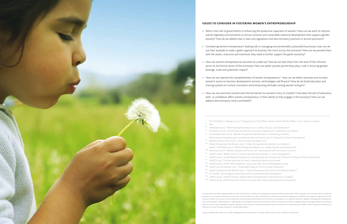This document has been produced without formal United Nations editing. The designations employed and the presentation of the material in this document do not imply the expression of any opinion whatsoever on the part of the Secretariat of the United Nations Industrial Development Organization (UNIDO) concerning the legal status of any country, territory, city or area or of its authorities, or concerning the delimitation of its frontiers or boundaries, or its economic system or degree of development. Designations such as "developed", "industrialized" or "developing" are intended for statistical convenience and do not necessarily express a judgment about the stage reached by a particular country or area in the development process. Mention of firm names or commercial products does not constitute an endorsement by UNIDO. Unless otherwise mentioned, all references to sums of money are given in United States dollars.

- overall regulatory environments to ensure inclusive and sustainable industrial development that supports gender equality? How do we address bias in laws and regulations and discriminatory practices in service provisions?
- use their example to make a green approach to business the norm across the economy? How can we provide them with the assets, resources and incentives they need to further support the green economy?
- » How can women entrepreneurial activities be scaled up? How do we take these from the level of the informal sector to the formal sector of the economy? How can public-private partnerships play a role in ensuring greater leverage, scale and systematic impact?
- » How can we improve the competitiveness of women entrepreneurs? How can we better promote and increase women's access to business development services, technologies and finance? How do we build education and training systems to nurture innovation and enterprising attitudes among women and girls?
- skills or confidence affect women entrepreneurs in their ability to fully engage in the economy? How can we address discriminatory norms and beliefs?
	- i The Third Billion Campaign (2012). "Empowering the Third Billion. Women and the World of Work in 2012". Booz & Company Ibid.
- iii World Bank (2011). "World Development Report 2011. Conflict, Security, and Development"
- <sup>iv</sup> UN Women (2012). "Decent Work and Women's Economic Empowerment: Good Policy and Practice"
- v Vossenberg, Saskia (2013). "Women Entrepreneurship Promotion in Developing Countries: What explains the gender gap in entrepreneurship and how to close it?" Maastricht School of Management
- vi World Economic Forum (2012). "Global Gender Gap Report 2012"
- vii Global Entrepreneurship Monitor (2011). "Global Entrepreneurship Monitor. 2010 Women's Report". World Bank (2012). "World Development Report 2012. Gender Equality and Development"
- viii World Bank (2011). "Women, business and the law 2012. Removing barriers to economic inclusion"
- ix UNIDO (2007). "Better Access to Growth: Mainstreaming Gender in Cluster Development"
- <sup>X</sup> UNIDO (2012). "Gender Related Obstacles to Vietnamese Women Entrepreneurs: Research Findings and Policy Implications"
- xi UNIDO (2013). "Creative Industries for Youth: Unleashing Potential and Growth"
- xii UNIDO (2013). UNIDO WED Programme. 2013 4 July. http://www.unidowedpakistan.org
- xiii UNIDO and UN Women (2013). "Sustainable Energy for All: the Gender Dimensions"
- xiv Global Entrepreneurship Monitor (2011). "Global Entrepreneurship monitor. 2010 Women's Report"
- xv ILO (2008). "ILO strategy on promoting women's entrepreneurship development"
- xvi UNIDO (2013). "UNIDO-Chevron: Supporting the next generation of entrepreneurs in Angola"
- xvii UNIDO (2013). UNIDO Evaluation Group. 2013 4 July. http://www.unido.org/resources/evaluation

Design by KOMO Wien, Büro für visuelle Angelegenheiten, www.komo.at; Printed by GRASL FairPrint (FSC and PEFC Certification)

### **ISSUES TO CONSIDER IN FOSTERING WOMEN'S ENTREPRENEURSHIP**

» What is the role of governments in enhancing the productive capacities of women? How can we work to improve

» Considering women entrepreneurs' leading role in managing environmentally sustainable businesses, how can we

» How can we overcome societal and internal barriers to women's entry to markets? How does the lack of education,

- 
- 
- 
- 
- 
-